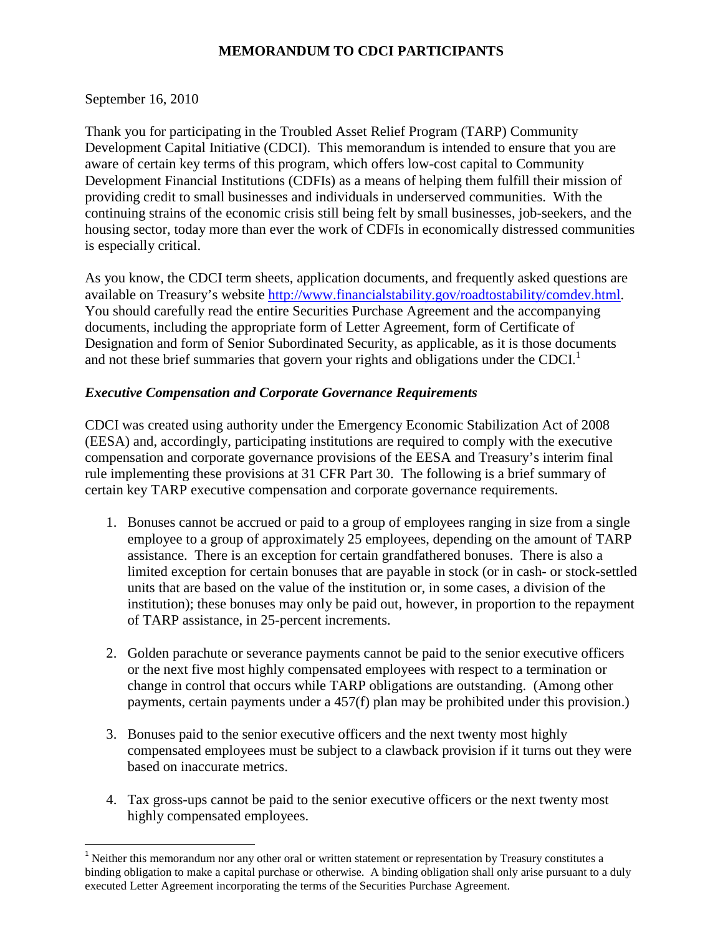# **MEMORANDUM TO CDCI PARTICIPANTS**

September 16, 2010

Thank you for participating in the Troubled Asset Relief Program (TARP) Community Development Capital Initiative (CDCI). This memorandum is intended to ensure that you are aware of certain key terms of this program, which offers low-cost capital to Community Development Financial Institutions (CDFIs) as a means of helping them fulfill their mission of providing credit to small businesses and individuals in underserved communities. With the continuing strains of the economic crisis still being felt by small businesses, job-seekers, and the housing sector, today more than ever the work of CDFIs in economically distressed communities is especially critical.

As you know, the CDCI term sheets, application documents, and frequently asked questions are available on Treasury's website [http://www.financialstability.gov/roadtostability/comdev.html.](http://www.financialstability.gov/roadtostability/comdev.html) You should carefully read the entire Securities Purchase Agreement and the accompanying documents, including the appropriate form of Letter Agreement, form of Certificate of Designation and form of Senior Subordinated Security, as applicable, as it is those documents and not these brief summaries that govern your rights and obligations under the CDCI.<sup>[1](#page-0-0)</sup>

### *Executive Compensation and Corporate Governance Requirements*

CDCI was created using authority under the Emergency Economic Stabilization Act of 2008 (EESA) and, accordingly, participating institutions are required to comply with the executive compensation and corporate governance provisions of the EESA and Treasury's interim final rule implementing these provisions at 31 CFR Part 30. The following is a brief summary of certain key TARP executive compensation and corporate governance requirements.

- 1. Bonuses cannot be accrued or paid to a group of employees ranging in size from a single employee to a group of approximately 25 employees, depending on the amount of TARP assistance. There is an exception for certain grandfathered bonuses. There is also a limited exception for certain bonuses that are payable in stock (or in cash- or stock-settled units that are based on the value of the institution or, in some cases, a division of the institution); these bonuses may only be paid out, however, in proportion to the repayment of TARP assistance, in 25-percent increments.
- 2. Golden parachute or severance payments cannot be paid to the senior executive officers or the next five most highly compensated employees with respect to a termination or change in control that occurs while TARP obligations are outstanding. (Among other payments, certain payments under a 457(f) plan may be prohibited under this provision.)
- 3. Bonuses paid to the senior executive officers and the next twenty most highly compensated employees must be subject to a clawback provision if it turns out they were based on inaccurate metrics.
- 4. Tax gross-ups cannot be paid to the senior executive officers or the next twenty most highly compensated employees.

<span id="page-0-0"></span> $1$  Neither this memorandum nor any other oral or written statement or representation by Treasury constitutes a binding obligation to make a capital purchase or otherwise. A binding obligation shall only arise pursuant to a duly executed Letter Agreement incorporating the terms of the Securities Purchase Agreement.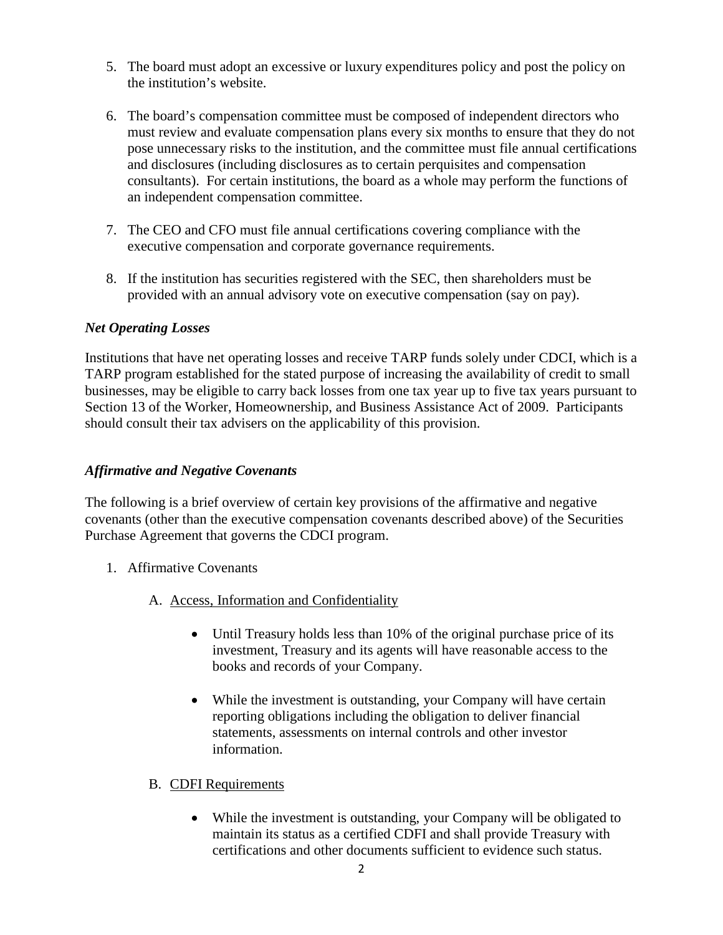- 5. The board must adopt an excessive or luxury expenditures policy and post the policy on the institution's website.
- 6. The board's compensation committee must be composed of independent directors who must review and evaluate compensation plans every six months to ensure that they do not pose unnecessary risks to the institution, and the committee must file annual certifications and disclosures (including disclosures as to certain perquisites and compensation consultants). For certain institutions, the board as a whole may perform the functions of an independent compensation committee.
- 7. The CEO and CFO must file annual certifications covering compliance with the executive compensation and corporate governance requirements.
- 8. If the institution has securities registered with the SEC, then shareholders must be provided with an annual advisory vote on executive compensation (say on pay).

# *Net Operating Losses*

Institutions that have net operating losses and receive TARP funds solely under CDCI, which is a TARP program established for the stated purpose of increasing the availability of credit to small businesses, may be eligible to carry back losses from one tax year up to five tax years pursuant to Section 13 of the Worker, Homeownership, and Business Assistance Act of 2009. Participants should consult their tax advisers on the applicability of this provision.

#### *Affirmative and Negative Covenants*

The following is a brief overview of certain key provisions of the affirmative and negative covenants (other than the executive compensation covenants described above) of the Securities Purchase Agreement that governs the CDCI program.

- 1. Affirmative Covenants
	- A. Access, Information and Confidentiality
		- Until Treasury holds less than 10% of the original purchase price of its investment, Treasury and its agents will have reasonable access to the books and records of your Company.
		- While the investment is outstanding, your Company will have certain reporting obligations including the obligation to deliver financial statements, assessments on internal controls and other investor information.

#### B. CDFI Requirements

• While the investment is outstanding, your Company will be obligated to maintain its status as a certified CDFI and shall provide Treasury with certifications and other documents sufficient to evidence such status.